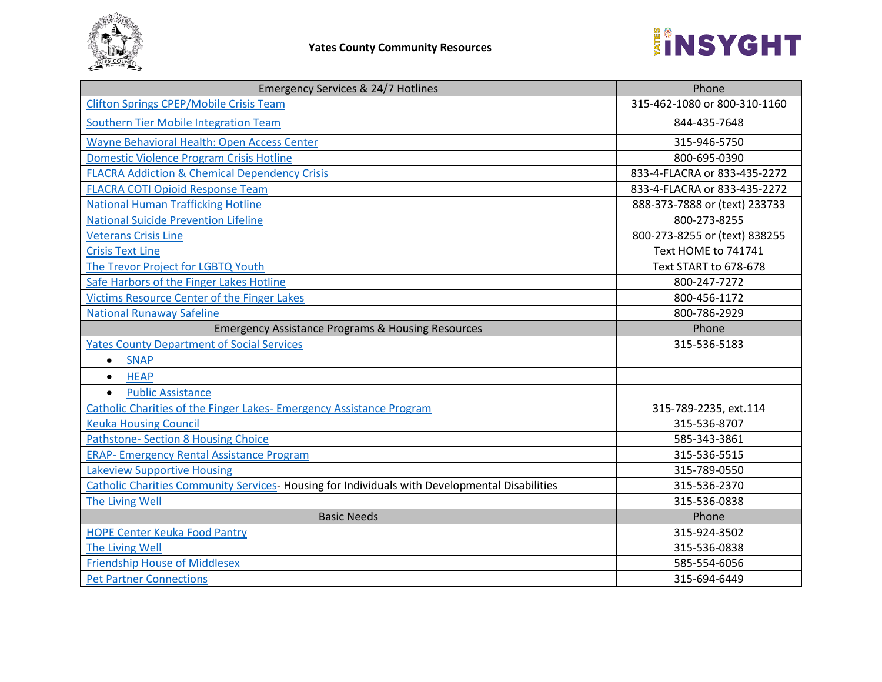

| <b>Emergency Services &amp; 24/7 Hotlines</b>                                                 | Phone                         |
|-----------------------------------------------------------------------------------------------|-------------------------------|
| <b>Clifton Springs CPEP/Mobile Crisis Team</b>                                                | 315-462-1080 or 800-310-1160  |
| Southern Tier Mobile Integration Team                                                         | 844-435-7648                  |
| Wayne Behavioral Health: Open Access Center                                                   | 315-946-5750                  |
| <b>Domestic Violence Program Crisis Hotline</b>                                               | 800-695-0390                  |
| <b>FLACRA Addiction &amp; Chemical Dependency Crisis</b>                                      | 833-4-FLACRA or 833-435-2272  |
| <b>FLACRA COTI Opioid Response Team</b>                                                       | 833-4-FLACRA or 833-435-2272  |
| <b>National Human Trafficking Hotline</b>                                                     | 888-373-7888 or (text) 233733 |
| <b>National Suicide Prevention Lifeline</b>                                                   | 800-273-8255                  |
| <b>Veterans Crisis Line</b>                                                                   | 800-273-8255 or (text) 838255 |
| <b>Crisis Text Line</b>                                                                       | Text HOME to 741741           |
| The Trevor Project for LGBTQ Youth                                                            | Text START to 678-678         |
| Safe Harbors of the Finger Lakes Hotline                                                      | 800-247-7272                  |
| Victims Resource Center of the Finger Lakes                                                   | 800-456-1172                  |
| <b>National Runaway Safeline</b>                                                              | 800-786-2929                  |
| <b>Emergency Assistance Programs &amp; Housing Resources</b>                                  | Phone                         |
| <b>Yates County Department of Social Services</b>                                             | 315-536-5183                  |
| <b>SNAP</b><br>$\bullet$                                                                      |                               |
| <b>HEAP</b><br>$\bullet$                                                                      |                               |
| <b>Public Assistance</b><br>$\bullet$                                                         |                               |
| Catholic Charities of the Finger Lakes- Emergency Assistance Program                          | 315-789-2235, ext.114         |
| <b>Keuka Housing Council</b>                                                                  | 315-536-8707                  |
| <b>Pathstone- Section 8 Housing Choice</b>                                                    | 585-343-3861                  |
| <b>ERAP- Emergency Rental Assistance Program</b>                                              | 315-536-5515                  |
| <b>Lakeview Supportive Housing</b>                                                            | 315-789-0550                  |
| Catholic Charities Community Services-Housing for Individuals with Developmental Disabilities | 315-536-2370                  |
| The Living Well                                                                               | 315-536-0838                  |
| <b>Basic Needs</b>                                                                            | Phone                         |
| <b>HOPE Center Keuka Food Pantry</b>                                                          | 315-924-3502                  |
| The Living Well                                                                               | 315-536-0838                  |
| <b>Friendship House of Middlesex</b>                                                          | 585-554-6056                  |
| <b>Pet Partner Connections</b>                                                                | 315-694-6449                  |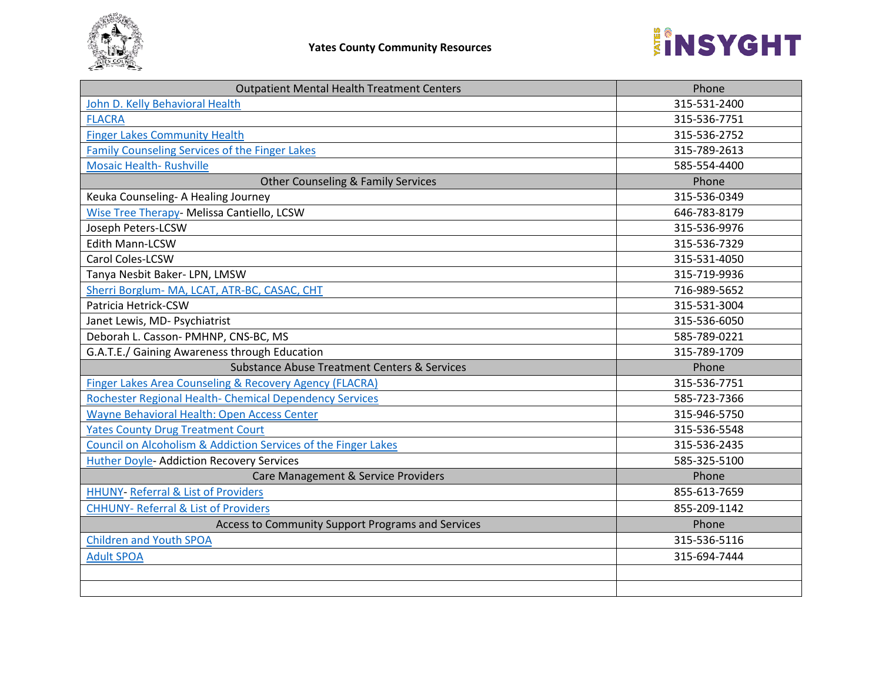

| <b>Outpatient Mental Health Treatment Centers</b>                  | Phone        |
|--------------------------------------------------------------------|--------------|
| John D. Kelly Behavioral Health                                    | 315-531-2400 |
| <b>FLACRA</b>                                                      | 315-536-7751 |
| <b>Finger Lakes Community Health</b>                               | 315-536-2752 |
| Family Counseling Services of the Finger Lakes                     | 315-789-2613 |
| <b>Mosaic Health- Rushville</b>                                    | 585-554-4400 |
| <b>Other Counseling &amp; Family Services</b>                      | Phone        |
| Keuka Counseling- A Healing Journey                                | 315-536-0349 |
| Wise Tree Therapy- Melissa Cantiello, LCSW                         | 646-783-8179 |
| Joseph Peters-LCSW                                                 | 315-536-9976 |
| Edith Mann-LCSW                                                    | 315-536-7329 |
| Carol Coles-LCSW                                                   | 315-531-4050 |
| Tanya Nesbit Baker- LPN, LMSW                                      | 315-719-9936 |
| Sherri Borglum- MA, LCAT, ATR-BC, CASAC, CHT                       | 716-989-5652 |
| Patricia Hetrick-CSW                                               | 315-531-3004 |
| Janet Lewis, MD- Psychiatrist                                      | 315-536-6050 |
| Deborah L. Casson- PMHNP, CNS-BC, MS                               | 585-789-0221 |
| G.A.T.E./ Gaining Awareness through Education                      | 315-789-1709 |
| <b>Substance Abuse Treatment Centers &amp; Services</b>            | Phone        |
| <b>Finger Lakes Area Counseling &amp; Recovery Agency (FLACRA)</b> | 315-536-7751 |
| Rochester Regional Health- Chemical Dependency Services            | 585-723-7366 |
| Wayne Behavioral Health: Open Access Center                        | 315-946-5750 |
| <b>Yates County Drug Treatment Court</b>                           | 315-536-5548 |
| Council on Alcoholism & Addiction Services of the Finger Lakes     | 315-536-2435 |
| Huther Doyle- Addiction Recovery Services                          | 585-325-5100 |
| Care Management & Service Providers                                | Phone        |
| <b>HHUNY- Referral &amp; List of Providers</b>                     | 855-613-7659 |
| <b>CHHUNY- Referral &amp; List of Providers</b>                    | 855-209-1142 |
| Access to Community Support Programs and Services                  | Phone        |
| <b>Children and Youth SPOA</b>                                     | 315-536-5116 |
| <b>Adult SPOA</b>                                                  | 315-694-7444 |
|                                                                    |              |
|                                                                    |              |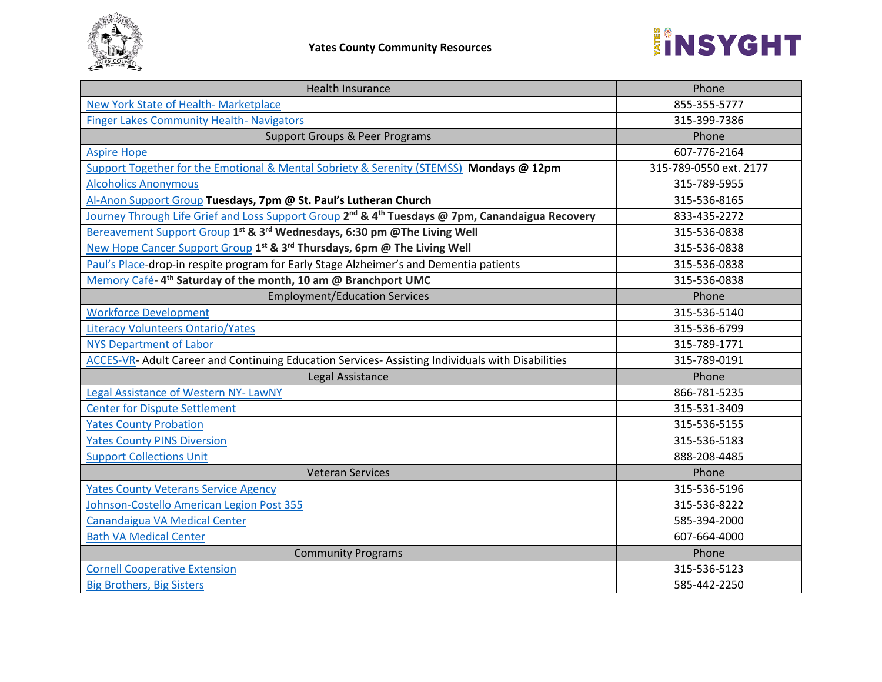

| <b>Health Insurance</b>                                                                                                  | Phone                  |
|--------------------------------------------------------------------------------------------------------------------------|------------------------|
| New York State of Health- Marketplace                                                                                    | 855-355-5777           |
| <b>Finger Lakes Community Health- Navigators</b>                                                                         | 315-399-7386           |
| <b>Support Groups &amp; Peer Programs</b>                                                                                | Phone                  |
| <b>Aspire Hope</b>                                                                                                       | 607-776-2164           |
| Support Together for the Emotional & Mental Sobriety & Serenity (STEMSS) Mondays @ 12pm                                  | 315-789-0550 ext. 2177 |
| <b>Alcoholics Anonymous</b>                                                                                              | 315-789-5955           |
| Al-Anon Support Group Tuesdays, 7pm @ St. Paul's Lutheran Church                                                         | 315-536-8165           |
| Journey Through Life Grief and Loss Support Group 2 <sup>nd</sup> & 4 <sup>th</sup> Tuesdays @ 7pm, Canandaigua Recovery | 833-435-2272           |
| Bereavement Support Group 1st & 3rd Wednesdays, 6:30 pm @The Living Well                                                 | 315-536-0838           |
| New Hope Cancer Support Group 1st & 3rd Thursdays, 6pm @ The Living Well                                                 | 315-536-0838           |
| Paul's Place-drop-in respite program for Early Stage Alzheimer's and Dementia patients                                   | 315-536-0838           |
| Memory Café-4 <sup>th</sup> Saturday of the month, 10 am @ Branchport UMC                                                | 315-536-0838           |
| <b>Employment/Education Services</b>                                                                                     | Phone                  |
| <b>Workforce Development</b>                                                                                             | 315-536-5140           |
| <b>Literacy Volunteers Ontario/Yates</b>                                                                                 | 315-536-6799           |
| <b>NYS Department of Labor</b>                                                                                           | 315-789-1771           |
| <b>ACCES-VR- Adult Career and Continuing Education Services- Assisting Individuals with Disabilities</b>                 | 315-789-0191           |
| Legal Assistance                                                                                                         | Phone                  |
| Legal Assistance of Western NY-LawNY                                                                                     | 866-781-5235           |
| <b>Center for Dispute Settlement</b>                                                                                     | 315-531-3409           |
| <b>Yates County Probation</b>                                                                                            | 315-536-5155           |
| <b>Yates County PINS Diversion</b>                                                                                       | 315-536-5183           |
| <b>Support Collections Unit</b>                                                                                          | 888-208-4485           |
| <b>Veteran Services</b>                                                                                                  | Phone                  |
| <b>Yates County Veterans Service Agency</b>                                                                              | 315-536-5196           |
| Johnson-Costello American Legion Post 355                                                                                | 315-536-8222           |
| Canandaigua VA Medical Center                                                                                            | 585-394-2000           |
| <b>Bath VA Medical Center</b>                                                                                            | 607-664-4000           |
| <b>Community Programs</b>                                                                                                | Phone                  |
| <b>Cornell Cooperative Extension</b>                                                                                     | 315-536-5123           |
| <b>Big Brothers, Big Sisters</b>                                                                                         | 585-442-2250           |